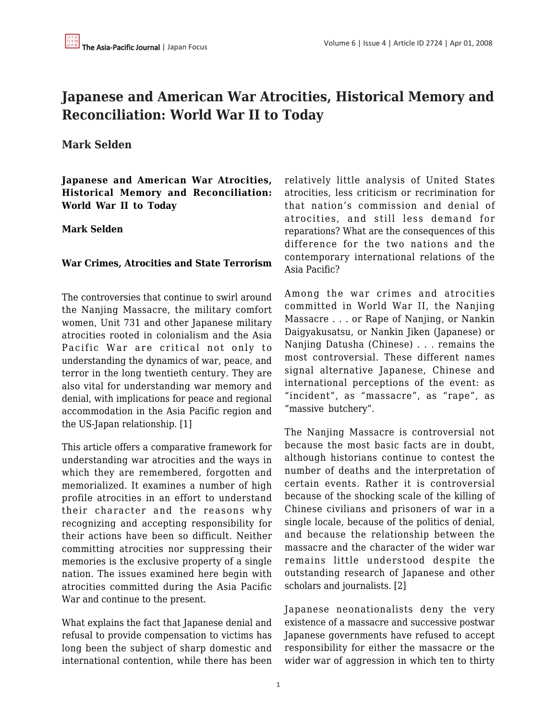# **Japanese and American War Atrocities, Historical Memory and Reconciliation: World War II to Today**

# **Mark Selden**

**Japanese and American War Atrocities, Historical Memory and Reconciliation: World War II to Today**

### **Mark Selden**

### **War Crimes, Atrocities and State Terrorism**

The controversies that continue to swirl around the Nanjing Massacre, the military comfort women, Unit 731 and other Japanese military atrocities rooted in colonialism and the Asia Pacific War are critical not only to understanding the dynamics of war, peace, and terror in the long twentieth century. They are also vital for understanding war memory and denial, with implications for peace and regional accommodation in the Asia Pacific region and the US-Japan relationship. [1]

This article offers a comparative framework for understanding war atrocities and the ways in which they are remembered, forgotten and memorialized. It examines a number of high profile atrocities in an effort to understand their character and the reasons why recognizing and accepting responsibility for their actions have been so difficult. Neither committing atrocities nor suppressing their memories is the exclusive property of a single nation. The issues examined here begin with atrocities committed during the Asia Pacific War and continue to the present.

What explains the fact that Japanese denial and refusal to provide compensation to victims has long been the subject of sharp domestic and international contention, while there has been relatively little analysis of United States atrocities, less criticism or recrimination for that nation's commission and denial of atrocities, and still less demand for reparations? What are the consequences of this difference for the two nations and the contemporary international relations of the Asia Pacific?

Among the war crimes and atrocities committed in World War II, the Nanjing Massacre . . . or Rape of Nanjing, or Nankin Daigyakusatsu, or Nankin Jiken (Japanese) or Nanjing Datusha (Chinese) . . . remains the most controversial. These different names signal alternative Japanese, Chinese and international perceptions of the event: as "incident", as "massacre", as "rape", as "massive butchery".

The Nanjing Massacre is controversial not because the most basic facts are in doubt, although historians continue to contest the number of deaths and the interpretation of certain events. Rather it is controversial because of the shocking scale of the killing of Chinese civilians and prisoners of war in a single locale, because of the politics of denial, and because the relationship between the massacre and the character of the wider war remains little understood despite the outstanding research of Japanese and other scholars and journalists. [2]

Japanese neonationalists deny the very existence of a massacre and successive postwar Japanese governments have refused to accept responsibility for either the massacre or the wider war of aggression in which ten to thirty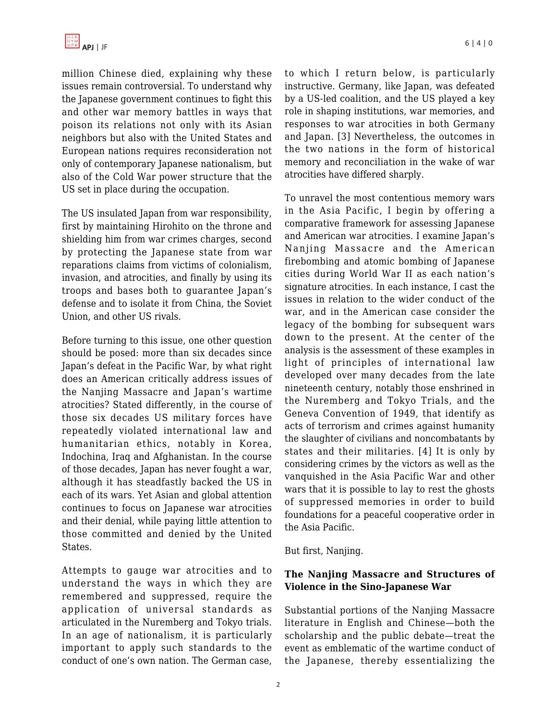million Chinese died, explaining why these issues remain controversial. To understand why the Japanese government continues to fight this and other war memory battles in ways that poison its relations not only with its Asian neighbors but also with the United States and European nations requires reconsideration not only of contemporary Japanese nationalism, but also of the Cold War power structure that the US set in place during the occupation.

The US insulated Japan from war responsibility, first by maintaining Hirohito on the throne and shielding him from war crimes charges, second by protecting the Japanese state from war reparations claims from victims of colonialism, invasion, and atrocities, and finally by using its troops and bases both to guarantee Japan's defense and to isolate it from China, the Soviet Union, and other US rivals.

Before turning to this issue, one other question should be posed: more than six decades since Japan's defeat in the Pacific War, by what right does an American critically address issues of the Nanjing Massacre and Japan's wartime atrocities? Stated differently, in the course of those six decades US military forces have repeatedly violated international law and humanitarian ethics, notably in Korea, Indochina, Iraq and Afghanistan. In the course of those decades, Japan has never fought a war, although it has steadfastly backed the US in each of its wars. Yet Asian and global attention continues to focus on Japanese war atrocities and their denial, while paying little attention to those committed and denied by the United States.

Attempts to gauge war atrocities and to understand the ways in which they are remembered and suppressed, require the application of universal standards as articulated in the Nuremberg and Tokyo trials. In an age of nationalism, it is particularly important to apply such standards to the conduct of one's own nation. The German case, to which I return below, is particularly instructive. Germany, like Japan, was defeated by a US-led coalition, and the US played a key role in shaping institutions, war memories, and responses to war atrocities in both Germany and Japan. [3] Nevertheless, the outcomes in the two nations in the form of historical memory and reconciliation in the wake of war atrocities have differed sharply.

To unravel the most contentious memory wars in the Asia Pacific, I begin by offering a comparative framework for assessing Japanese and American war atrocities. I examine Japan's Nanjing Massacre and the American firebombing and atomic bombing of Japanese cities during World War II as each nation's signature atrocities. In each instance, I cast the issues in relation to the wider conduct of the war, and in the American case consider the legacy of the bombing for subsequent wars down to the present. At the center of the analysis is the assessment of these examples in light of principles of international law developed over many decades from the late nineteenth century, notably those enshrined in the Nuremberg and Tokyo Trials, and the Geneva Convention of 1949, that identify as acts of terrorism and crimes against humanity the slaughter of civilians and noncombatants by states and their militaries. [4] It is only by considering crimes by the victors as well as the vanquished in the Asia Pacific War and other wars that it is possible to lay to rest the ghosts of suppressed memories in order to build foundations for a peaceful cooperative order in the Asia Pacific.

But first, Nanjing.

# **The Nanjing Massacre and Structures of Violence in the Sino-Japanese War**

Substantial portions of the Nanjing Massacre literature in English and Chinese—both the scholarship and the public debate—treat the event as emblematic of the wartime conduct of the Japanese, thereby essentializing the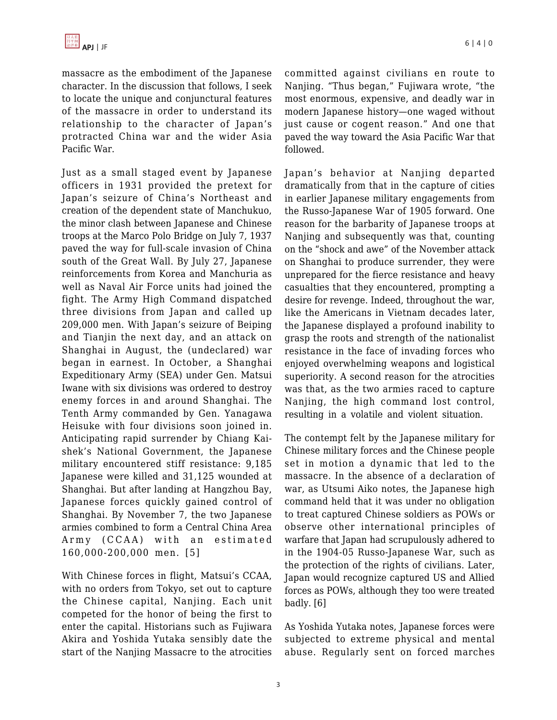massacre as the embodiment of the Japanese character. In the discussion that follows, I seek to locate the unique and conjunctural features of the massacre in order to understand its relationship to the character of Japan's protracted China war and the wider Asia Pacific War.

Just as a small staged event by Japanese officers in 1931 provided the pretext for Japan's seizure of China's Northeast and creation of the dependent state of Manchukuo, the minor clash between Japanese and Chinese troops at the Marco Polo Bridge on July 7, 1937 paved the way for full-scale invasion of China south of the Great Wall. By July 27, Japanese reinforcements from Korea and Manchuria as well as Naval Air Force units had joined the fight. The Army High Command dispatched three divisions from Japan and called up 209,000 men. With Japan's seizure of Beiping and Tianjin the next day, and an attack on Shanghai in August, the (undeclared) war began in earnest. In October, a Shanghai Expeditionary Army (SEA) under Gen. Matsui Iwane with six divisions was ordered to destroy enemy forces in and around Shanghai. The Tenth Army commanded by Gen. Yanagawa Heisuke with four divisions soon joined in. Anticipating rapid surrender by Chiang Kaishek's National Government, the Japanese military encountered stiff resistance: 9,185 Japanese were killed and 31,125 wounded at Shanghai. But after landing at Hangzhou Bay, Japanese forces quickly gained control of Shanghai. By November 7, the two Japanese armies combined to form a Central China Area Army (CCAA) with an estimated 160,000-200,000 men. [5]

With Chinese forces in flight, Matsui's CCAA, with no orders from Tokyo, set out to capture the Chinese capital, Nanjing. Each unit competed for the honor of being the first to enter the capital. Historians such as Fujiwara Akira and Yoshida Yutaka sensibly date the start of the Nanjing Massacre to the atrocities committed against civilians en route to Nanjing. "Thus began," Fujiwara wrote, "the most enormous, expensive, and deadly war in modern Japanese history—one waged without just cause or cogent reason." And one that paved the way toward the Asia Pacific War that followed.

Japan's behavior at Nanjing departed dramatically from that in the capture of cities in earlier Japanese military engagements from the Russo-Japanese War of 1905 forward. One reason for the barbarity of Japanese troops at Nanjing and subsequently was that, counting on the "shock and awe" of the November attack on Shanghai to produce surrender, they were unprepared for the fierce resistance and heavy casualties that they encountered, prompting a desire for revenge. Indeed, throughout the war, like the Americans in Vietnam decades later, the Japanese displayed a profound inability to grasp the roots and strength of the nationalist resistance in the face of invading forces who enjoyed overwhelming weapons and logistical superiority. A second reason for the atrocities was that, as the two armies raced to capture Nanjing, the high command lost control, resulting in a volatile and violent situation.

The contempt felt by the Japanese military for Chinese military forces and the Chinese people set in motion a dynamic that led to the massacre. In the absence of a declaration of war, as Utsumi Aiko notes, the Japanese high command held that it was under no obligation to treat captured Chinese soldiers as POWs or observe other international principles of warfare that Japan had scrupulously adhered to in the 1904-05 Russo-Japanese War, such as the protection of the rights of civilians. Later, Japan would recognize captured US and Allied forces as POWs, although they too were treated badly. [6]

As Yoshida Yutaka notes, Japanese forces were subjected to extreme physical and mental abuse. Regularly sent on forced marches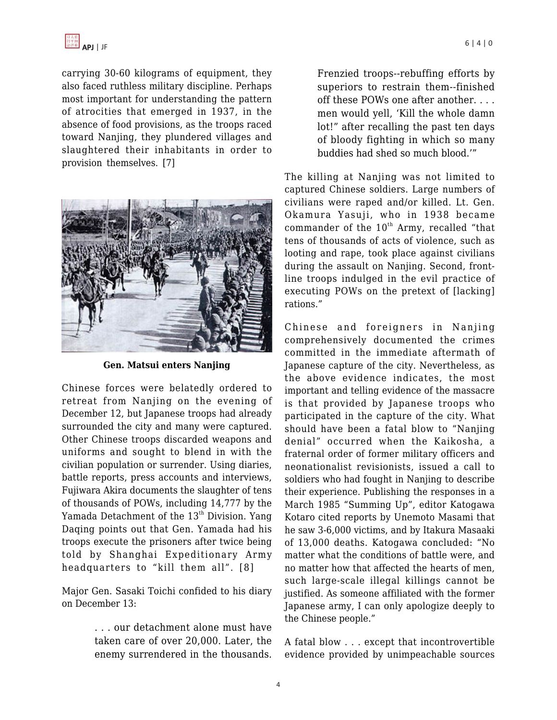

carrying 30-60 kilograms of equipment, they also faced ruthless military discipline. Perhaps most important for understanding the pattern of atrocities that emerged in 1937, in the absence of food provisions, as the troops raced toward Nanjing, they plundered villages and slaughtered their inhabitants in order to provision themselves. [7]



**Gen. Matsui enters Nanjing**

Chinese forces were belatedly ordered to retreat from Nanjing on the evening of December 12, but Japanese troops had already surrounded the city and many were captured. Other Chinese troops discarded weapons and uniforms and sought to blend in with the civilian population or surrender. Using diaries, battle reports, press accounts and interviews, Fujiwara Akira documents the slaughter of tens of thousands of POWs, including 14,777 by the Yamada Detachment of the 13<sup>th</sup> Division. Yang Daqing points out that Gen. Yamada had his troops execute the prisoners after twice being told by Shanghai Expeditionary Army headquarters to "kill them all". [8]

Major Gen. Sasaki Toichi confided to his diary on December 13:

> . . . our detachment alone must have taken care of over 20,000. Later, the enemy surrendered in the thousands.

Frenzied troops--rebuffing efforts by superiors to restrain them--finished off these POWs one after another. . . .

men would yell, 'Kill the whole damn lot!" after recalling the past ten days of bloody fighting in which so many buddies had shed so much blood.'"

The killing at Nanjing was not limited to captured Chinese soldiers. Large numbers of civilians were raped and/or killed. Lt. Gen. Okamura Yasuji, who in 1938 became commander of the  $10^{th}$  Army, recalled "that tens of thousands of acts of violence, such as looting and rape, took place against civilians during the assault on Nanjing. Second, frontline troops indulged in the evil practice of executing POWs on the pretext of [lacking] rations."

Chinese and foreigners in Nanjing comprehensively documented the crimes committed in the immediate aftermath of Japanese capture of the city. Nevertheless, as the above evidence indicates, the most important and telling evidence of the massacre is that provided by Japanese troops who participated in the capture of the city. What should have been a fatal blow to "Nanjing denial" occurred when the Kaikosha, a fraternal order of former military officers and neonationalist revisionists, issued a call to soldiers who had fought in Nanjing to describe their experience. Publishing the responses in a March 1985 "Summing Up", editor Katogawa Kotaro cited reports by Unemoto Masami that he saw 3-6,000 victims, and by Itakura Masaaki of 13,000 deaths. Katogawa concluded: "No matter what the conditions of battle were, and no matter how that affected the hearts of men, such large-scale illegal killings cannot be justified. As someone affiliated with the former Japanese army, I can only apologize deeply to the Chinese people."

A fatal blow . . . except that incontrovertible evidence provided by unimpeachable sources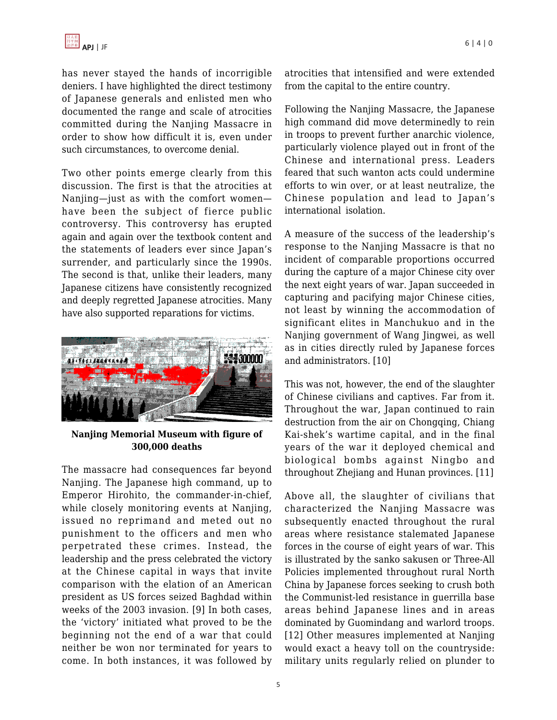has never stayed the hands of incorrigible deniers. I have highlighted the direct testimony of Japanese generals and enlisted men who documented the range and scale of atrocities committed during the Nanjing Massacre in order to show how difficult it is, even under such circumstances, to overcome denial.

Two other points emerge clearly from this discussion. The first is that the atrocities at Nanjing—just as with the comfort women have been the subject of fierce public controversy. This controversy has erupted again and again over the textbook content and the statements of leaders ever since Japan's surrender, and particularly since the 1990s. The second is that, unlike their leaders, many Japanese citizens have consistently recognized and deeply regretted Japanese atrocities. Many have also supported reparations for victims.



**Nanjing Memorial Museum with figure of 300,000 deaths**

The massacre had consequences far beyond Nanjing. The Japanese high command, up to Emperor Hirohito, the commander-in-chief, while closely monitoring events at Nanjing, issued no reprimand and meted out no punishment to the officers and men who perpetrated these crimes. Instead, the leadership and the press celebrated the victory at the Chinese capital in ways that invite comparison with the elation of an American president as US forces seized Baghdad within weeks of the 2003 invasion. [9] In both cases, the 'victory' initiated what proved to be the beginning not the end of a war that could neither be won nor terminated for years to come. In both instances, it was followed by atrocities that intensified and were extended from the capital to the entire country.

Following the Nanjing Massacre, the Japanese high command did move determinedly to rein in troops to prevent further anarchic violence, particularly violence played out in front of the Chinese and international press. Leaders feared that such wanton acts could undermine efforts to win over, or at least neutralize, the Chinese population and lead to Japan's international isolation.

A measure of the success of the leadership's response to the Nanjing Massacre is that no incident of comparable proportions occurred during the capture of a major Chinese city over the next eight years of war. Japan succeeded in capturing and pacifying major Chinese cities, not least by winning the accommodation of significant elites in Manchukuo and in the Nanjing government of Wang Jingwei, as well as in cities directly ruled by Japanese forces and administrators. [10]

This was not, however, the end of the slaughter of Chinese civilians and captives. Far from it. Throughout the war, Japan continued to rain destruction from the air on Chongqing, Chiang Kai-shek's wartime capital, and in the final years of the war it deployed chemical and biological bombs against Ningbo and throughout Zhejiang and Hunan provinces. [11]

Above all, the slaughter of civilians that characterized the Nanjing Massacre was subsequently enacted throughout the rural areas where resistance stalemated Japanese forces in the course of eight years of war. This is illustrated by the sanko sakusen or Three-All Policies implemented throughout rural North China by Japanese forces seeking to crush both the Communist-led resistance in guerrilla base areas behind Japanese lines and in areas dominated by Guomindang and warlord troops. [12] Other measures implemented at Nanjing would exact a heavy toll on the countryside: military units regularly relied on plunder to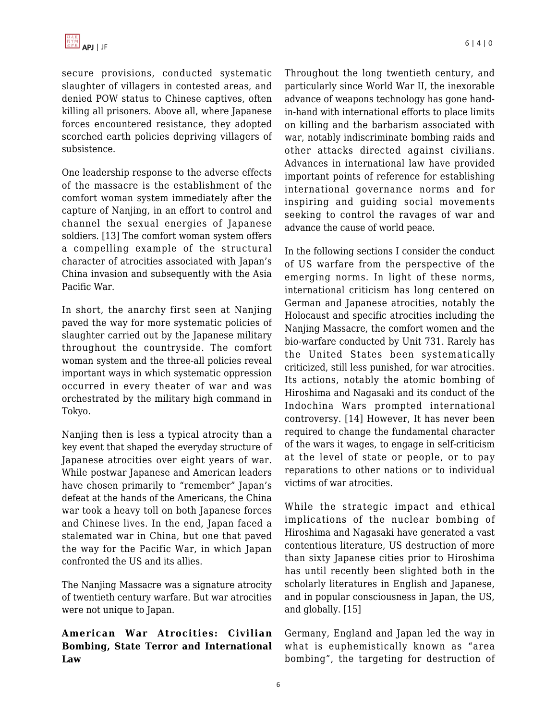secure provisions, conducted systematic slaughter of villagers in contested areas, and denied POW status to Chinese captives, often killing all prisoners. Above all, where Japanese forces encountered resistance, they adopted scorched earth policies depriving villagers of subsistence.

One leadership response to the adverse effects of the massacre is the establishment of the comfort woman system immediately after the capture of Nanjing, in an effort to control and channel the sexual energies of Japanese soldiers. [13] The comfort woman system offers a compelling example of the structural character of atrocities associated with Japan's China invasion and subsequently with the Asia Pacific War.

In short, the anarchy first seen at Nanjing paved the way for more systematic policies of slaughter carried out by the Japanese military throughout the countryside. The comfort woman system and the three-all policies reveal important ways in which systematic oppression occurred in every theater of war and was orchestrated by the military high command in Tokyo.

Nanjing then is less a typical atrocity than a key event that shaped the everyday structure of Japanese atrocities over eight years of war. While postwar Japanese and American leaders have chosen primarily to "remember" Japan's defeat at the hands of the Americans, the China war took a heavy toll on both Japanese forces and Chinese lives. In the end, Japan faced a stalemated war in China, but one that paved the way for the Pacific War, in which Japan confronted the US and its allies.

The Nanjing Massacre was a signature atrocity of twentieth century warfare. But war atrocities were not unique to Japan.

# **American War Atrocities: Civilian Bombing, State Terror and International Law**

Throughout the long twentieth century, and particularly since World War II, the inexorable advance of weapons technology has gone handin-hand with international efforts to place limits on killing and the barbarism associated with war, notably indiscriminate bombing raids and other attacks directed against civilians. Advances in international law have provided important points of reference for establishing international governance norms and for inspiring and guiding social movements seeking to control the ravages of war and advance the cause of world peace.

In the following sections I consider the conduct of US warfare from the perspective of the emerging norms. In light of these norms, international criticism has long centered on German and Japanese atrocities, notably the Holocaust and specific atrocities including the Nanjing Massacre, the comfort women and the bio-warfare conducted by Unit 731. Rarely has the United States been systematically criticized, still less punished, for war atrocities. Its actions, notably the atomic bombing of Hiroshima and Nagasaki and its conduct of the Indochina Wars prompted international controversy. [14] However, It has never been required to change the fundamental character of the wars it wages, to engage in self-criticism at the level of state or people, or to pay reparations to other nations or to individual victims of war atrocities.

While the strategic impact and ethical implications of the nuclear bombing of Hiroshima and Nagasaki have generated a vast contentious literature, US destruction of more than sixty Japanese cities prior to Hiroshima has until recently been slighted both in the scholarly literatures in English and Japanese, and in popular consciousness in Japan, the US, and globally. [15]

Germany, England and Japan led the way in what is euphemistically known as "area bombing", the targeting for destruction of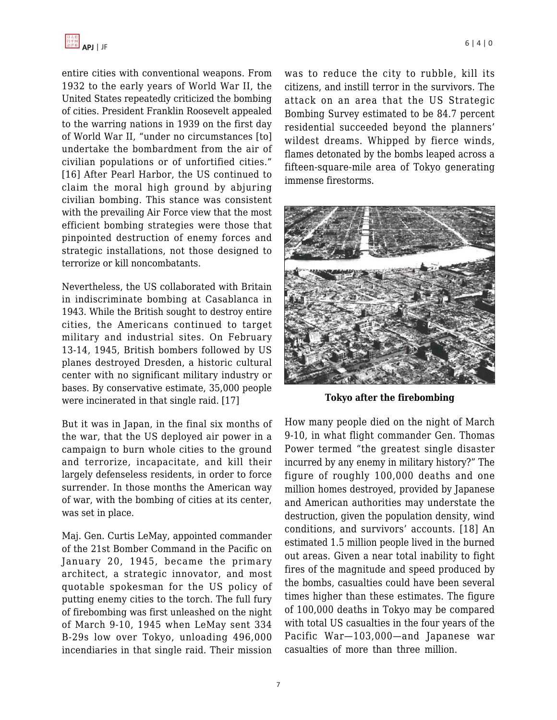entire cities with conventional weapons. From 1932 to the early years of World War II, the United States repeatedly criticized the bombing of cities. President Franklin Roosevelt appealed to the warring nations in 1939 on the first day of World War II, "under no circumstances [to] undertake the bombardment from the air of civilian populations or of unfortified cities." [16] After Pearl Harbor, the US continued to claim the moral high ground by abjuring civilian bombing. This stance was consistent with the prevailing Air Force view that the most efficient bombing strategies were those that pinpointed destruction of enemy forces and strategic installations, not those designed to terrorize or kill noncombatants.

Nevertheless, the US collaborated with Britain in indiscriminate bombing at Casablanca in 1943. While the British sought to destroy entire cities, the Americans continued to target military and industrial sites. On February 13-14, 1945, British bombers followed by US planes destroyed Dresden, a historic cultural center with no significant military industry or bases. By conservative estimate, 35,000 people were incinerated in that single raid. [17]

But it was in Japan, in the final six months of the war, that the US deployed air power in a campaign to burn whole cities to the ground and terrorize, incapacitate, and kill their largely defenseless residents, in order to force surrender. In those months the American way of war, with the bombing of cities at its center, was set in place.

Maj. Gen. Curtis LeMay, appointed commander of the 21st Bomber Command in the Pacific on January 20, 1945, became the primary architect, a strategic innovator, and most quotable spokesman for the US policy of putting enemy cities to the torch. The full fury of firebombing was first unleashed on the night of March 9-10, 1945 when LeMay sent 334 B-29s low over Tokyo, unloading 496,000 incendiaries in that single raid. Their mission

was to reduce the city to rubble, kill its citizens, and instill terror in the survivors. The attack on an area that the US Strategic Bombing Survey estimated to be 84.7 percent residential succeeded beyond the planners' wildest dreams. Whipped by fierce winds, flames detonated by the bombs leaped across a fifteen-square-mile area of Tokyo generating immense firestorms.



**Tokyo after the firebombing**

How many people died on the night of March 9-10, in what flight commander Gen. Thomas Power termed "the greatest single disaster incurred by any enemy in military history?" The figure of roughly 100,000 deaths and one million homes destroyed, provided by Japanese and American authorities may understate the destruction, given the population density, wind conditions, and survivors' accounts. [18] An estimated 1.5 million people lived in the burned out areas. Given a near total inability to fight fires of the magnitude and speed produced by the bombs, casualties could have been several times higher than these estimates. The figure of 100,000 deaths in Tokyo may be compared with total US casualties in the four years of the Pacific War—103,000—and Japanese war casualties of more than three million.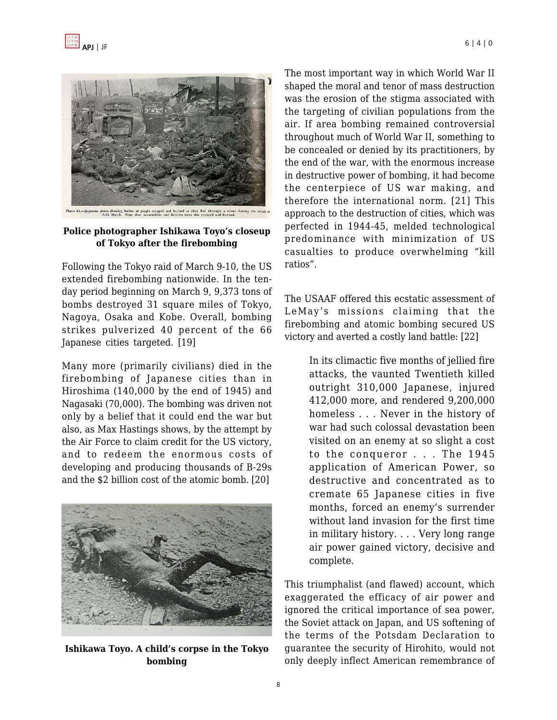

#### **Police photographer Ishikawa Toyo's closeup of Tokyo after the firebombing**

Following the Tokyo raid of March 9-10, the US extended firebombing nationwide. In the tenday period beginning on March 9, 9,373 tons of bombs destroyed 31 square miles of Tokyo, Nagoya, Osaka and Kobe. Overall, bombing strikes pulverized 40 percent of the 66 Japanese cities targeted. [19]

Many more (primarily civilians) died in the firebombing of Japanese cities than in Hiroshima (140,000 by the end of 1945) and Nagasaki (70,000). The bombing was driven not only by a belief that it could end the war but also, as Max Hastings shows, by the attempt by the Air Force to claim credit for the US victory, and to redeem the enormous costs of developing and producing thousands of B-29s and the \$2 billion cost of the atomic bomb. [20]



**Ishikawa Toyo. A child's corpse in the Tokyo bombing**

The most important way in which World War II shaped the moral and tenor of mass destruction was the erosion of the stigma associated with the targeting of civilian populations from the air. If area bombing remained controversial throughout much of World War II, something to be concealed or denied by its practitioners, by the end of the war, with the enormous increase in destructive power of bombing, it had become the centerpiece of US war making, and therefore the international norm. [21] This approach to the destruction of cities, which was perfected in 1944-45, melded technological predominance with minimization of US casualties to produce overwhelming "kill ratios".

The USAAF offered this ecstatic assessment of LeMay's missions claiming that the firebombing and atomic bombing secured US victory and averted a costly land battle: [22]

> In its climactic five months of jellied fire attacks, the vaunted Twentieth killed outright 310,000 Japanese, injured 412,000 more, and rendered 9,200,000 homeless . . . Never in the history of war had such colossal devastation been visited on an enemy at so slight a cost to the conqueror . . . The 1945 application of American Power, so destructive and concentrated as to cremate 65 Japanese cities in five months, forced an enemy's surrender without land invasion for the first time in military history. . . . Very long range air power gained victory, decisive and complete.

This triumphalist (and flawed) account, which exaggerated the efficacy of air power and ignored the critical importance of sea power, the Soviet attack on Japan, and US softening of the terms of the Potsdam Declaration to guarantee the security of Hirohito, would not only deeply inflect American remembrance of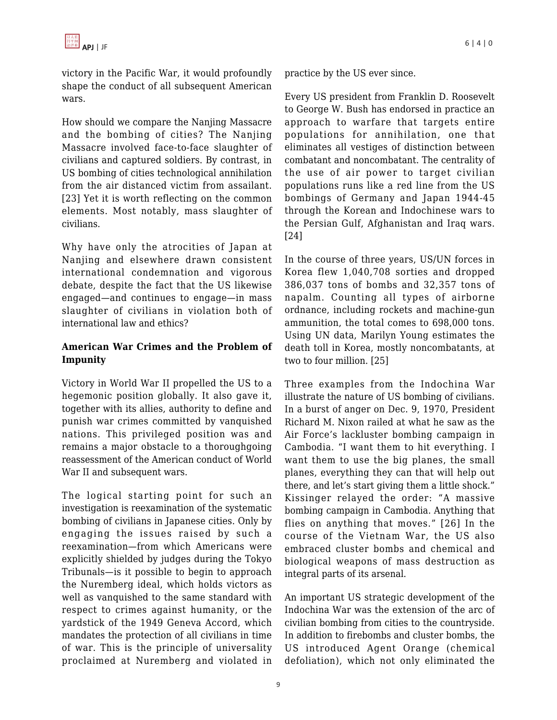victory in the Pacific War, it would profoundly shape the conduct of all subsequent American wars.

How should we compare the Nanjing Massacre and the bombing of cities? The Nanjing Massacre involved face-to-face slaughter of civilians and captured soldiers. By contrast, in US bombing of cities technological annihilation from the air distanced victim from assailant. [23] Yet it is worth reflecting on the common elements. Most notably, mass slaughter of civilians.

Why have only the atrocities of Japan at Nanjing and elsewhere drawn consistent international condemnation and vigorous debate, despite the fact that the US likewise engaged—and continues to engage—in mass slaughter of civilians in violation both of international law and ethics?

# **American War Crimes and the Problem of Impunity**

Victory in World War II propelled the US to a hegemonic position globally. It also gave it, together with its allies, authority to define and punish war crimes committed by vanquished nations. This privileged position was and remains a major obstacle to a thoroughgoing reassessment of the American conduct of World War II and subsequent wars.

The logical starting point for such an investigation is reexamination of the systematic bombing of civilians in Japanese cities. Only by engaging the issues raised by such a reexamination—from which Americans were explicitly shielded by judges during the Tokyo Tribunals—is it possible to begin to approach the Nuremberg ideal, which holds victors as well as vanquished to the same standard with respect to crimes against humanity, or the yardstick of the 1949 Geneva Accord, which mandates the protection of all civilians in time of war. This is the principle of universality proclaimed at Nuremberg and violated in practice by the US ever since.

Every US president from Franklin D. Roosevelt to George W. Bush has endorsed in practice an approach to warfare that targets entire populations for annihilation, one that eliminates all vestiges of distinction between combatant and noncombatant. The centrality of the use of air power to target civilian populations runs like a red line from the US bombings of Germany and Japan 1944-45 through the Korean and Indochinese wars to the Persian Gulf, Afghanistan and Iraq wars. [24]

In the course of three years, US/UN forces in Korea flew 1,040,708 sorties and dropped 386,037 tons of bombs and 32,357 tons of napalm. Counting all types of airborne ordnance, including rockets and machine-gun ammunition, the total comes to 698,000 tons. Using UN data, Marilyn Young estimates the death toll in Korea, mostly noncombatants, at two to four million. [25]

Three examples from the Indochina War illustrate the nature of US bombing of civilians. In a burst of anger on Dec. 9, 1970, President Richard M. Nixon railed at what he saw as the Air Force's lackluster bombing campaign in Cambodia. "I want them to hit everything. I want them to use the big planes, the small planes, everything they can that will help out there, and let's start giving them a little shock." Kissinger relayed the order: "A massive bombing campaign in Cambodia. Anything that flies on anything that moves." [26] In the course of the Vietnam War, the US also embraced cluster bombs and chemical and biological weapons of mass destruction as integral parts of its arsenal.

An important US strategic development of the Indochina War was the extension of the arc of civilian bombing from cities to the countryside. In addition to firebombs and cluster bombs, the US introduced Agent Orange (chemical defoliation), which not only eliminated the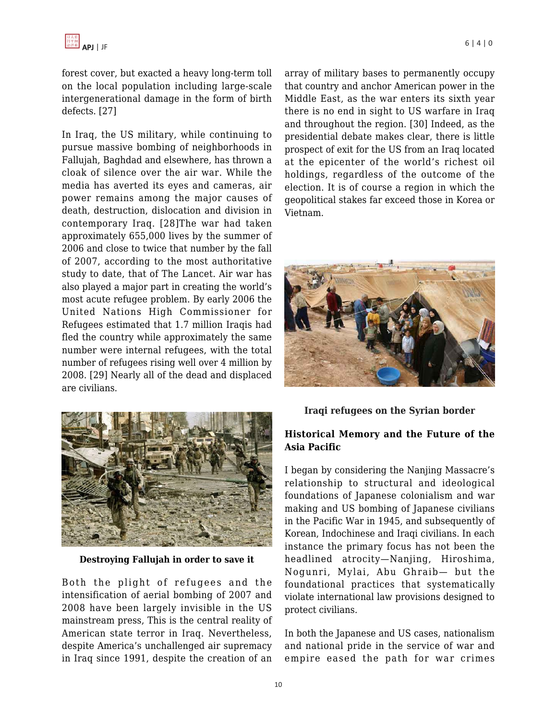forest cover, but exacted a heavy long-term toll on the local population including large-scale intergenerational damage in the form of birth defects. [27]

In Iraq, the US military, while continuing to pursue massive bombing of neighborhoods in Fallujah, Baghdad and elsewhere, has thrown a cloak of silence over the air war. While the media has averted its eyes and cameras, air power remains among the major causes of death, destruction, dislocation and division in contemporary Iraq. [28]The war had taken approximately 655,000 lives by the summer of 2006 and close to twice that number by the fall of 2007, according to the most authoritative study to date, that of The Lancet. Air war has also played a major part in creating the world's most acute refugee problem. By early 2006 the United Nations High Commissioner for Refugees estimated that 1.7 million Iraqis had fled the country while approximately the same number were internal refugees, with the total number of refugees rising well over 4 million by 2008. [29] Nearly all of the dead and displaced are civilians.



**Destroying Fallujah in order to save it**

Both the plight of refugees and the intensification of aerial bombing of 2007 and 2008 have been largely invisible in the US mainstream press, This is the central reality of American state terror in Iraq. Nevertheless, despite America's unchallenged air supremacy in Iraq since 1991, despite the creation of an array of military bases to permanently occupy that country and anchor American power in the Middle East, as the war enters its sixth year there is no end in sight to US warfare in Iraq and throughout the region. [30] Indeed, as the presidential debate makes clear, there is little prospect of exit for the US from an Iraq located at the epicenter of the world's richest oil holdings, regardless of the outcome of the election. It is of course a region in which the geopolitical stakes far exceed those in Korea or Vietnam.



**Iraqi refugees on the Syrian border**

### **Historical Memory and the Future of the Asia Pacific**

I began by considering the Nanjing Massacre's relationship to structural and ideological foundations of Japanese colonialism and war making and US bombing of Japanese civilians in the Pacific War in 1945, and subsequently of Korean, Indochinese and Iraqi civilians. In each instance the primary focus has not been the headlined atrocity—Nanjing, Hiroshima, Nogunri, Mylai, Abu Ghraib— but the foundational practices that systematically violate international law provisions designed to protect civilians.

In both the Japanese and US cases, nationalism and national pride in the service of war and empire eased the path for war crimes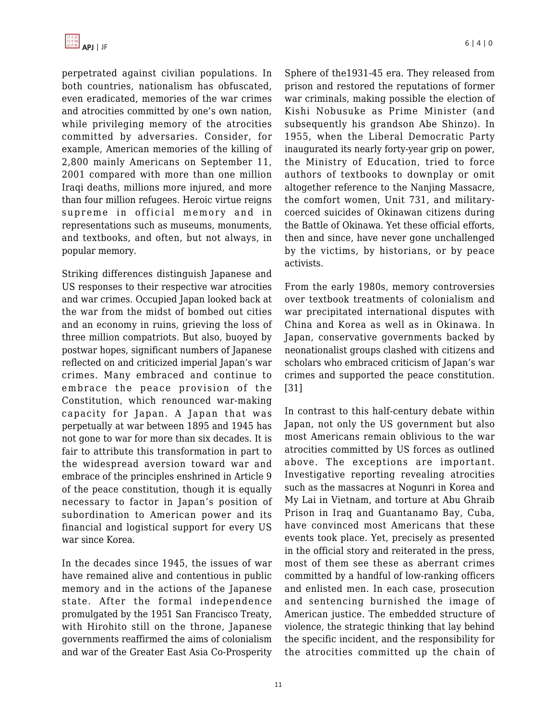perpetrated against civilian populations. In both countries, nationalism has obfuscated, even eradicated, memories of the war crimes and atrocities committed by one's own nation, while privileging memory of the atrocities committed by adversaries. Consider, for example, American memories of the killing of 2,800 mainly Americans on September 11, 2001 compared with more than one million Iraqi deaths, millions more injured, and more than four million refugees. Heroic virtue reigns supreme in official memory and in representations such as museums, monuments, and textbooks, and often, but not always, in popular memory.

Striking differences distinguish Japanese and US responses to their respective war atrocities and war crimes. Occupied Japan looked back at the war from the midst of bombed out cities and an economy in ruins, grieving the loss of three million compatriots. But also, buoyed by postwar hopes, significant numbers of Japanese reflected on and criticized imperial Japan's war crimes. Many embraced and continue to embrace the peace provision of the Constitution, which renounced war-making capacity for Japan. A Japan that was perpetually at war between 1895 and 1945 has not gone to war for more than six decades. It is fair to attribute this transformation in part to the widespread aversion toward war and embrace of the principles enshrined in Article 9 of the peace constitution, though it is equally necessary to factor in Japan's position of subordination to American power and its financial and logistical support for every US war since Korea.

In the decades since 1945, the issues of war have remained alive and contentious in public memory and in the actions of the Japanese state. After the formal independence promulgated by the 1951 San Francisco Treaty, with Hirohito still on the throne, Japanese governments reaffirmed the aims of colonialism and war of the Greater East Asia Co-Prosperity Sphere of the1931-45 era. They released from prison and restored the reputations of former war criminals, making possible the election of Kishi Nobusuke as Prime Minister (and subsequently his grandson Abe Shinzo). In 1955, when the Liberal Democratic Party inaugurated its nearly forty-year grip on power, the Ministry of Education, tried to force authors of textbooks to downplay or omit altogether reference to the Nanjing Massacre, the comfort women, Unit 731, and militarycoerced suicides of Okinawan citizens during the Battle of Okinawa. Yet these official efforts, then and since, have never gone unchallenged by the victims, by historians, or by peace activists.

From the early 1980s, memory controversies over textbook treatments of colonialism and war precipitated international disputes with China and Korea as well as in Okinawa. In Japan, conservative governments backed by neonationalist groups clashed with citizens and scholars who embraced criticism of Japan's war crimes and supported the peace constitution. [31]

In contrast to this half-century debate within Japan, not only the US government but also most Americans remain oblivious to the war atrocities committed by US forces as outlined above. The exceptions are important. Investigative reporting revealing atrocities such as the massacres at Nogunri in Korea and My Lai in Vietnam, and torture at Abu Ghraib Prison in Iraq and Guantanamo Bay, Cuba, have convinced most Americans that these events took place. Yet, precisely as presented in the official story and reiterated in the press, most of them see these as aberrant crimes committed by a handful of low-ranking officers and enlisted men. In each case, prosecution and sentencing burnished the image of American justice. The embedded structure of violence, the strategic thinking that lay behind the specific incident, and the responsibility for the atrocities committed up the chain of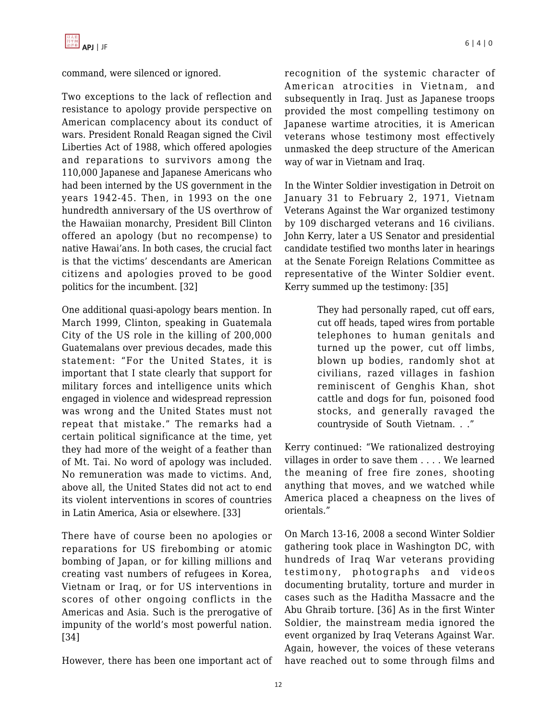

command, were silenced or ignored.

Two exceptions to the lack of reflection and resistance to apology provide perspective on American complacency about its conduct of wars. President Ronald Reagan signed the Civil Liberties Act of 1988, which offered apologies and reparations to survivors among the 110,000 Japanese and Japanese Americans who had been interned by the US government in the years 1942-45. Then, in 1993 on the one hundredth anniversary of the US overthrow of the Hawaiian monarchy, President Bill Clinton offered an apology (but no recompense) to native Hawai'ans. In both cases, the crucial fact is that the victims' descendants are American citizens and apologies proved to be good politics for the incumbent. [32]

One additional quasi-apology bears mention. In March 1999, Clinton, speaking in Guatemala City of the US role in the killing of 200,000 Guatemalans over previous decades, made this statement: "For the United States, it is important that I state clearly that support for military forces and intelligence units which engaged in violence and widespread repression was wrong and the United States must not repeat that mistake." The remarks had a certain political significance at the time, yet they had more of the weight of a feather than of Mt. Tai. No word of apology was included. No remuneration was made to victims. And, above all, the United States did not act to end its violent interventions in scores of countries in Latin America, Asia or elsewhere. [33]

There have of course been no apologies or reparations for US firebombing or atomic bombing of Japan, or for killing millions and creating vast numbers of refugees in Korea, Vietnam or Iraq, or for US interventions in scores of other ongoing conflicts in the Americas and Asia. Such is the prerogative of impunity of the world's most powerful nation. [34]

However, there has been one important act of

recognition of the systemic character of American atrocities in Vietnam, and subsequently in Iraq. Just as Japanese troops provided the most compelling testimony on Japanese wartime atrocities, it is American veterans whose testimony most effectively unmasked the deep structure of the American

In the Winter Soldier investigation in Detroit on January 31 to February 2, 1971, Vietnam Veterans Against the War organized testimony by 109 discharged veterans and 16 civilians. John Kerry, later a US Senator and presidential candidate testified two months later in hearings at the Senate Foreign Relations Committee as representative of the Winter Soldier event. Kerry summed up the testimony: [35]

way of war in Vietnam and Iraq.

They had personally raped, cut off ears, cut off heads, taped wires from portable telephones to human genitals and turned up the power, cut off limbs, blown up bodies, randomly shot at civilians, razed villages in fashion reminiscent of Genghis Khan, shot cattle and dogs for fun, poisoned food stocks, and generally ravaged the countryside of South Vietnam. . ."

Kerry continued: "We rationalized destroying villages in order to save them . . . . We learned the meaning of free fire zones, shooting anything that moves, and we watched while America placed a cheapness on the lives of orientals."

On March 13-16, 2008 a second Winter Soldier gathering took place in Washington DC, with hundreds of Iraq War veterans providing testimony, photographs and videos documenting brutality, torture and murder in cases such as the Haditha Massacre and the Abu Ghraib torture. [36] As in the first Winter Soldier, the mainstream media ignored the event organized by Iraq Veterans Against War. Again, however, the voices of these veterans have reached out to some through films and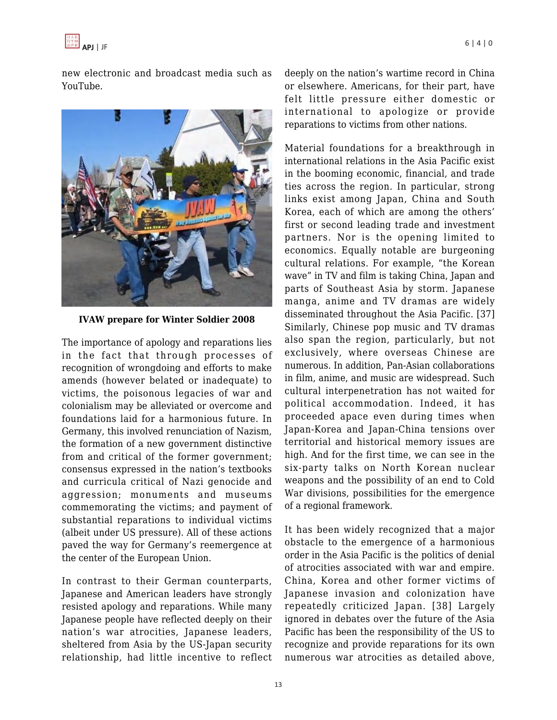

new electronic and broadcast media such as YouTube.



**IVAW prepare for Winter Soldier 2008**

The importance of apology and reparations lies in the fact that through processes of recognition of wrongdoing and efforts to make amends (however belated or inadequate) to victims, the poisonous legacies of war and colonialism may be alleviated or overcome and foundations laid for a harmonious future. In Germany, this involved renunciation of Nazism, the formation of a new government distinctive from and critical of the former government; consensus expressed in the nation's textbooks and curricula critical of Nazi genocide and aggression; monuments and museums commemorating the victims; and payment of substantial reparations to individual victims (albeit under US pressure). All of these actions paved the way for Germany's reemergence at the center of the European Union.

In contrast to their German counterparts, Japanese and American leaders have strongly resisted apology and reparations. While many Japanese people have reflected deeply on their nation's war atrocities, Japanese leaders, sheltered from Asia by the US-Japan security relationship, had little incentive to reflect deeply on the nation's wartime record in China or elsewhere. Americans, for their part, have felt little pressure either domestic or international to apologize or provide reparations to victims from other nations.

Material foundations for a breakthrough in international relations in the Asia Pacific exist in the booming economic, financial, and trade ties across the region. In particular, strong links exist among Japan, China and South Korea, each of which are among the others' first or second leading trade and investment partners. Nor is the opening limited to economics. Equally notable are burgeoning cultural relations. For example, "the Korean wave" in TV and film is taking China, Japan and parts of Southeast Asia by storm. Japanese manga, anime and TV dramas are widely disseminated throughout the Asia Pacific. [37] Similarly, Chinese pop music and TV dramas also span the region, particularly, but not exclusively, where overseas Chinese are numerous. In addition, Pan-Asian collaborations in film, anime, and music are widespread. Such cultural interpenetration has not waited for political accommodation. Indeed, it has proceeded apace even during times when Japan-Korea and Japan-China tensions over territorial and historical memory issues are high. And for the first time, we can see in the six-party talks on North Korean nuclear weapons and the possibility of an end to Cold War divisions, possibilities for the emergence of a regional framework.

It has been widely recognized that a major obstacle to the emergence of a harmonious order in the Asia Pacific is the politics of denial of atrocities associated with war and empire. China, Korea and other former victims of Japanese invasion and colonization have repeatedly criticized Japan. [38] Largely ignored in debates over the future of the Asia Pacific has been the responsibility of the US to recognize and provide reparations for its own numerous war atrocities as detailed above,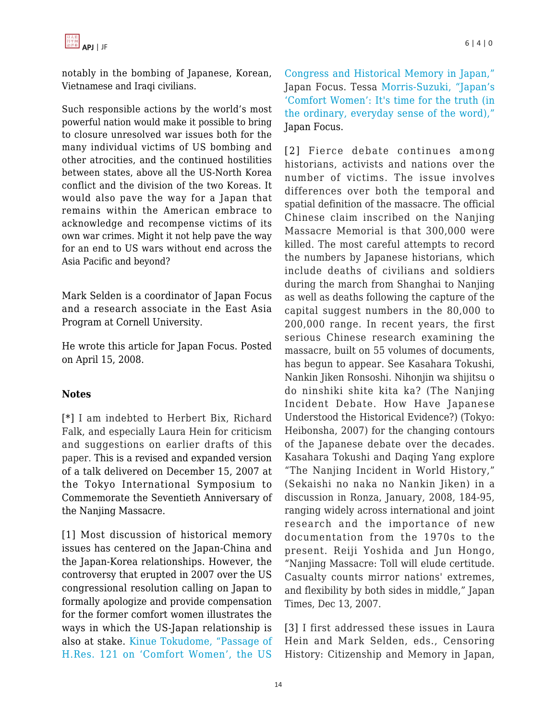notably in the bombing of Japanese, Korean, Vietnamese and Iraqi civilians.

Such responsible actions by the world's most powerful nation would make it possible to bring to closure unresolved war issues both for the many individual victims of US bombing and other atrocities, and the continued hostilities between states, above all the US-North Korea conflict and the division of the two Koreas. It would also pave the way for a Japan that remains within the American embrace to acknowledge and recompense victims of its own war crimes. Might it not help pave the way for an end to US wars without end across the Asia Pacific and beyond?

Mark Selden is a coordinator of Japan Focus and a research associate in the East Asia Program at Cornell University.

He wrote this article for Japan Focus. Posted on April 15, 2008.

### **Notes**

[\*] I am indebted to Herbert Bix, Richard Falk, and especially Laura Hein for criticism and suggestions on earlier drafts of this paper. This is a revised and expanded version of a talk delivered on December 15, 2007 at the Tokyo International Symposium to Commemorate the Seventieth Anniversary of the Nanjing Massacre.

[1] Most discussion of historical memory issues has centered on the Japan-China and the Japan-Korea relationships. However, the controversy that erupted in 2007 over the US congressional resolution calling on Japan to formally apologize and provide compensation for the former comfort women illustrates the ways in which the US-Japan relationship is also at stake. [Kinue Tokudome, "Passage of](https://apjjf.org/products/details/2510) [H.Res. 121 on 'Comfort Women', the US](https://apjjf.org/products/details/2510) [Congress and Historical Memory in Japan,"](https://apjjf.org/products/details/2510) Japan Focus. Tessa [Morris-Suzuki, "Japan's](https://apjjf.org/products/details/2373) ['Comfort Women': It's time for the truth \(in](https://apjjf.org/products/details/2373) [the ordinary, everyday sense of the word\),"](https://apjjf.org/products/details/2373) Japan Focus.

[2] Fierce debate continues among historians, activists and nations over the number of victims. The issue involves differences over both the temporal and spatial definition of the massacre. The official Chinese claim inscribed on the Nanjing Massacre Memorial is that 300,000 were killed. The most careful attempts to record the numbers by Japanese historians, which include deaths of civilians and soldiers during the march from Shanghai to Nanjing as well as deaths following the capture of the capital suggest numbers in the 80,000 to 200,000 range. In recent years, the first serious Chinese research examining the massacre, built on 55 volumes of documents, has begun to appear. See Kasahara Tokushi, Nankin Jiken Ronsoshi. Nihonjin wa shijitsu o do ninshiki shite kita ka? (The Nanjing Incident Debate. How Have Japanese Understood the Historical Evidence?) (Tokyo: Heibonsha, 2007) for the changing contours of the Japanese debate over the decades. Kasahara Tokushi and Daqing Yang explore "The Nanjing Incident in World History," (Sekaishi no naka no Nankin Jiken) in a discussion in Ronza, January, 2008, 184-95, ranging widely across international and joint research and the importance of new documentation from the 1970s to the present. Reiji Yoshida and Jun Hongo, "Nanjing Massacre: Toll will elude certitude. Casualty counts mirror nations' extremes, and flexibility by both sides in middle," Japan Times, Dec 13, 2007.

[3] I first addressed these issues in Laura Hein and Mark Selden, eds., Censoring History: Citizenship and Memory in Japan,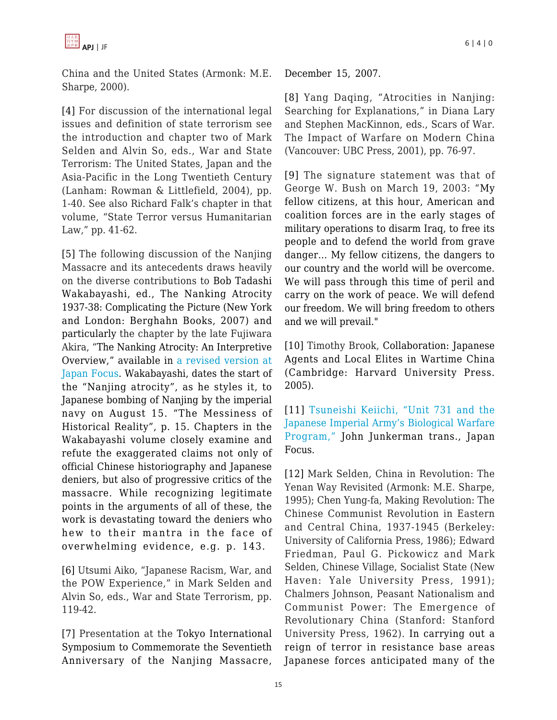China and the United States (Armonk: M.E. Sharpe, 2000).

[4] For discussion of the international legal issues and definition of state terrorism see the introduction and chapter two of Mark Selden and Alvin So, eds., War and State Terrorism: The United States, Japan and the Asia-Pacific in the Long Twentieth Century (Lanham: Rowman & Littlefield, 2004), pp. 1-40. See also Richard Falk's chapter in that volume, "State Terror versus Humanitarian Law," pp. 41-62.

[5] The following discussion of the Nanjing Massacre and its antecedents draws heavily on the diverse contributions to Bob Tadashi Wakabayashi, ed., The Nanking Atrocity 1937-38: Complicating the Picture (New York and London: Berghahn Books, 2007) and particularly the chapter by the late Fujiwara Akira, "The Nanking Atrocity: An Interpretive Overview," available in [a revised version at](https://apjjf.org/products/details/2553) [Japan Focus.](https://apjjf.org/products/details/2553) Wakabayashi, dates the start of the "Nanjing atrocity", as he styles it, to Japanese bombing of Nanjing by the imperial navy on August 15. "The Messiness of Historical Reality", p. 15. Chapters in the Wakabayashi volume closely examine and refute the exaggerated claims not only of official Chinese historiography and Japanese deniers, but also of progressive critics of the massacre. While recognizing legitimate points in the arguments of all of these, the work is devastating toward the deniers who hew to their mantra in the face of overwhelming evidence, e.g. p. 143.

[6] Utsumi Aiko, "Japanese Racism, War, and the POW Experience," in Mark Selden and Alvin So, eds., War and State Terrorism, pp. 119-42.

[7] Presentation at the Tokyo International Symposium to Commemorate the Seventieth Anniversary of the Nanjing Massacre,

December 15, 2007.

[8] Yang Daqing, "Atrocities in Nanjing: Searching for Explanations," in Diana Lary and Stephen MacKinnon, eds., Scars of War. The Impact of Warfare on Modern China (Vancouver: UBC Press, 2001), pp. 76-97.

[9] The signature statement was that of George W. Bush on March 19, 2003: "My fellow citizens, at this hour, American and coalition forces are in the early stages of military operations to disarm Iraq, to free its people and to defend the world from grave danger… My fellow citizens, the dangers to our country and the world will be overcome. We will pass through this time of peril and carry on the work of peace. We will defend our freedom. We will bring freedom to others and we will prevail."

[10] Timothy Brook, Collaboration: Japanese Agents and Local Elites in Wartime China (Cambridge: Harvard University Press. 2005).

[11] [Tsuneishi Keiichi, "Unit 731 and the](https://apjjf.org/products/details/2194) [Japanese Imperial Army's Biological Warfare](https://apjjf.org/products/details/2194) [Program,"](https://apjjf.org/products/details/2194) John Junkerman trans., Japan Focus.

[12] Mark Selden, China in Revolution: The Yenan Way Revisited (Armonk: M.E. Sharpe, 1995); Chen Yung-fa, Making Revolution: The Chinese Communist Revolution in Eastern and Central China, 1937-1945 (Berkeley: University of California Press, 1986); Edward Friedman, Paul G. Pickowicz and Mark Selden, Chinese Village, Socialist State (New Haven: Yale University Press, 1991); Chalmers Johnson, Peasant Nationalism and Communist Power: The Emergence of Revolutionary China (Stanford: Stanford University Press, 1962). In carrying out a reign of terror in resistance base areas Japanese forces anticipated many of the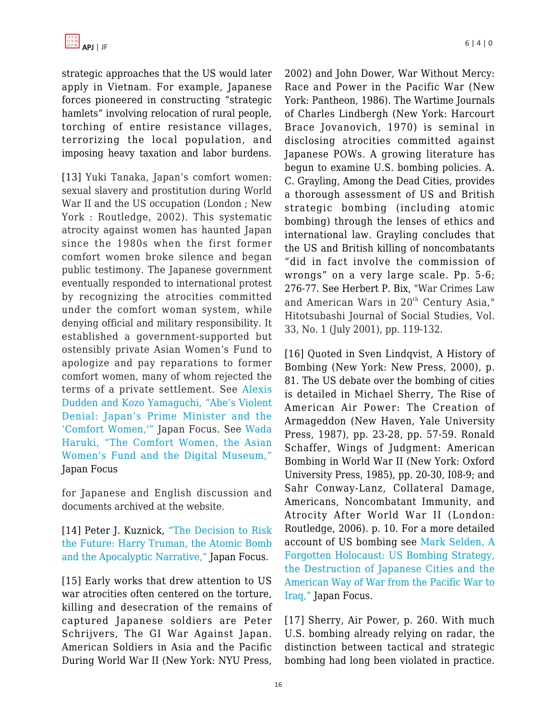strategic approaches that the US would later apply in Vietnam. For example, Japanese forces pioneered in constructing "strategic hamlets" involving relocation of rural people, torching of entire resistance villages, terrorizing the local population, and imposing heavy taxation and labor burdens.

[13] Yuki Tanaka, Japan's comfort women: sexual slavery and prostitution during World War II and the US occupation (London ; New York : Routledge, 2002). This systematic atrocity against women has haunted Japan since the 1980s when the first former comfort women broke silence and began public testimony. The Japanese government eventually responded to international protest by recognizing the atrocities committed under the comfort woman system, while denying official and military responsibility. It established a government-supported but ostensibly private Asian Women's Fund to apologize and pay reparations to former comfort women, many of whom rejected the terms of a private settlement. See [Alexis](https://apjjf.org/products/details/2368) [Dudden and Kozo Yamaguchi, "Abe's Violent](https://apjjf.org/products/details/2368) [Denial: Japan's Prime Minister and the](https://apjjf.org/products/details/2368) ['Comfort Women,'"](https://apjjf.org/products/details/2368) Japan Focus. See [Wada](https://apjjf.org/products/details/2653) [Haruki, "The Comfort Women, the Asian](https://apjjf.org/products/details/2653) [Women's Fund and the Digital Museum,"](https://apjjf.org/products/details/2653) Japan Focus

for Japanese and English discussion and documents archived at the website.

[14] Peter J. Kuznick, ["The Decision to Risk](https://apjjf.org/products/details/2479) [the Future: Harry Truman, the Atomic Bomb](https://apjjf.org/products/details/2479) [and the Apocalyptic Narrative,"](https://apjjf.org/products/details/2479) Japan Focus.

[15] Early works that drew attention to US war atrocities often centered on the torture, killing and desecration of the remains of captured Japanese soldiers are Peter Schrijvers, The GI War Against Japan. American Soldiers in Asia and the Pacific During World War II (New York: NYU Press,

2002) and John Dower, War Without Mercy: Race and Power in the Pacific War (New York: Pantheon, 1986). The Wartime Journals of Charles Lindbergh (New York: Harcourt Brace Jovanovich, 1970) is seminal in disclosing atrocities committed against Japanese POWs. A growing literature has begun to examine U.S. bombing policies. A. C. Grayling, Among the Dead Cities, provides a thorough assessment of US and British strategic bombing (including atomic bombing) through the lenses of ethics and international law. Grayling concludes that the US and British killing of noncombatants "did in fact involve the commission of wrongs" on a very large scale. Pp. 5-6; 276-77. See Herbert P. Bix, "War Crimes Law and American Wars in 20<sup>th</sup> Century Asia," Hitotsubashi Journal of Social Studies, Vol. 33, No. 1 (July 2001), pp. 119-132.

[16] Quoted in Sven Lindqvist, A History of Bombing (New York: New Press, 2000), p. 81. The US debate over the bombing of cities is detailed in Michael Sherry, The Rise of American Air Power: The Creation of Armageddon (New Haven, Yale University Press, 1987), pp. 23-28, pp. 57-59. Ronald Schaffer, Wings of Judgment: American Bombing in World War II (New York: Oxford University Press, 1985), pp. 20-30, I08-9; and Sahr Conway-Lanz, Collateral Damage, Americans, Noncombatant Immunity, and Atrocity After World War II (London: Routledge, 2006). p. 10. For a more detailed account of US bombing see [Mark Selden, A](https://apjjf.org/products/details/2414) [Forgotten Holocaust: US Bombing Strategy,](https://apjjf.org/products/details/2414) [the Destruction of Japanese Cities and the](https://apjjf.org/products/details/2414) [American Way of War from the Pacific War to](https://apjjf.org/products/details/2414) [Iraq,"](https://apjjf.org/products/details/2414) Japan Focus.

[17] Sherry, Air Power, p. 260. With much U.S. bombing already relying on radar, the distinction between tactical and strategic bombing had long been violated in practice.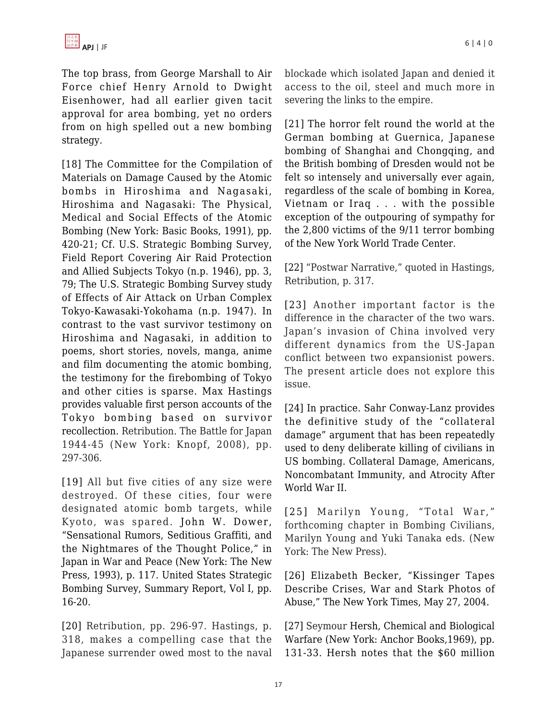The top brass, from George Marshall to Air Force chief Henry Arnold to Dwight Eisenhower, had all earlier given tacit approval for area bombing, yet no orders from on high spelled out a new bombing strategy.

[18] The Committee for the Compilation of Materials on Damage Caused by the Atomic bombs in Hiroshima and Nagasaki, Hiroshima and Nagasaki: The Physical, Medical and Social Effects of the Atomic Bombing (New York: Basic Books, 1991), pp. 420-21; Cf. U.S. Strategic Bombing Survey, Field Report Covering Air Raid Protection and Allied Subjects Tokyo (n.p. 1946), pp. 3, 79; The U.S. Strategic Bombing Survey study of Effects of Air Attack on Urban Complex Tokyo-Kawasaki-Yokohama (n.p. 1947). In contrast to the vast survivor testimony on Hiroshima and Nagasaki, in addition to poems, short stories, novels, manga, anime and film documenting the atomic bombing, the testimony for the firebombing of Tokyo and other cities is sparse. Max Hastings provides valuable first person accounts of the Tokyo bombing based on survivor recollection. Retribution. The Battle for Japan 1944-45 (New York: Knopf, 2008), pp. 297-306.

[19] All but five cities of any size were destroyed. Of these cities, four were designated atomic bomb targets, while Kyoto, was spared. John W. Dower, "Sensational Rumors, Seditious Graffiti, and the Nightmares of the Thought Police," in Japan in War and Peace (New York: The New Press, 1993), p. 117. United States Strategic Bombing Survey, Summary Report, Vol I, pp. 16-20.

[20] Retribution, pp. 296-97. Hastings, p. 318, makes a compelling case that the Japanese surrender owed most to the naval

blockade which isolated Japan and denied it access to the oil, steel and much more in severing the links to the empire.

[21] The horror felt round the world at the German bombing at Guernica, Japanese bombing of Shanghai and Chongqing, and the British bombing of Dresden would not be felt so intensely and universally ever again, regardless of the scale of bombing in Korea, Vietnam or Iraq . . . with the possible exception of the outpouring of sympathy for the 2,800 victims of the 9/11 terror bombing of the New York World Trade Center.

[22] "Postwar Narrative," quoted in Hastings, Retribution, p. 317.

[23] Another important factor is the difference in the character of the two wars. Japan's invasion of China involved very different dynamics from the US-Japan conflict between two expansionist powers. The present article does not explore this issue.

[24] In practice. Sahr Conway-Lanz provides the definitive study of the "collateral damage" argument that has been repeatedly used to deny deliberate killing of civilians in US bombing. Collateral Damage, Americans, Noncombatant Immunity, and Atrocity After World War II.

[25] Marilyn Young, "Total War," forthcoming chapter in Bombing Civilians, Marilyn Young and Yuki Tanaka eds. (New York: The New Press).

[26] Elizabeth Becker, "Kissinger Tapes Describe Crises, War and Stark Photos of Abuse," The New York Times, May 27, 2004.

[27] Seymour Hersh, Chemical and Biological Warfare (New York: Anchor Books,1969), pp. 131-33. Hersh notes that the \$60 million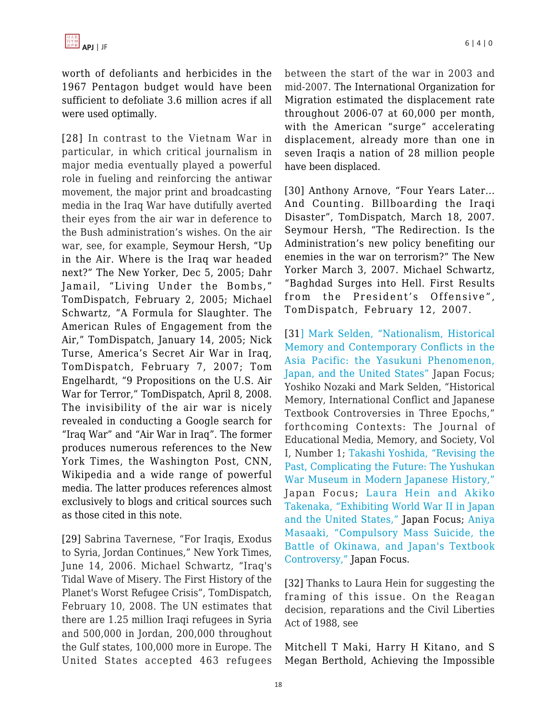worth of defoliants and herbicides in the 1967 Pentagon budget would have been sufficient to defoliate 3.6 million acres if all were used optimally.

[28] In contrast to the Vietnam War in particular, in which critical journalism in major media eventually played a powerful role in fueling and reinforcing the antiwar movement, the major print and broadcasting media in the Iraq War have dutifully averted their eyes from the air war in deference to the Bush administration's wishes. On the air war, see, for example, Seymour Hersh, "Up in the Air. Where is the Iraq war headed next?" The New Yorker, Dec 5, 2005; Dahr Jamail, "Living Under the Bombs," TomDispatch, February 2, 2005; Michael Schwartz, "A Formula for Slaughter. The American Rules of Engagement from the Air," TomDispatch, January 14, 2005; Nick Turse, America's Secret Air War in Iraq, TomDispatch, February 7, 2007; Tom Engelhardt, "9 Propositions on the U.S. Air War for Terror," TomDispatch, April 8, 2008. The invisibility of the air war is nicely revealed in conducting a Google search for "Iraq War" and "Air War in Iraq". The former produces numerous references to the New York Times, the Washington Post, CNN, Wikipedia and a wide range of powerful media. The latter produces references almost exclusively to blogs and critical sources such as those cited in this note.

[29] Sabrina Tavernese, "For Iraqis, Exodus to Syria, Jordan Continues," New York Times, June 14, 2006. Michael Schwartz, "Iraq's Tidal Wave of Misery. The First History of the Planet's Worst Refugee Crisis", TomDispatch, February 10, 2008. The UN estimates that there are 1.25 million Iraqi refugees in Syria and 500,000 in Jordan, 200,000 throughout the Gulf states, 100,000 more in Europe. The United States accepted 463 refugees between the start of the war in 2003 and mid-2007. The International Organization for Migration estimated the displacement rate throughout 2006-07 at 60,000 per month, with the American "surge" accelerating displacement, already more than one in seven Iraqis a nation of 28 million people have been displaced.

[30] Anthony Arnove, "Four Years Later... And Counting. Billboarding the Iraqi Disaster", TomDispatch, March 18, 2007. Seymour Hersh, "The Redirection. Is the Administration's new policy benefiting our enemies in the war on terrorism?" The New Yorker March 3, 2007. Michael Schwartz, "Baghdad Surges into Hell. First Results from the President's Offensive", TomDispatch, February 12, 2007.

[3[1\] Mark Selden, "Nationalism, Historical](https://apjjf.org/products/details/2204) [Memory and Contemporary Conflicts in the](https://apjjf.org/products/details/2204) [Asia Pacific: the Yasukuni Phenomenon,](https://apjjf.org/products/details/2204) [Japan, and the United States"](https://apjjf.org/products/details/2204) Japan Focus; Yoshiko Nozaki and Mark Selden, "Historical Memory, International Conflict and Japanese Textbook Controversies in Three Epochs," forthcoming Contexts: The Journal of Educational Media, Memory, and Society, Vol I, Number 1; [Takashi Yoshida, "Revising the](https://apjjf.org/products/details/2594) [Past, Complicating the Future: The Yushukan](https://apjjf.org/products/details/2594) [War Museum in Modern Japanese History,"](https://apjjf.org/products/details/2594) Japan Focus; [Laura Hein and Akiko](https://apjjf.org/products/details/2477) [Takenaka, "Exhibiting World War II in Japan](https://apjjf.org/products/details/2477) [and the United States,"](https://apjjf.org/products/details/2477) Japan Focus; [Aniya](https://apjjf.org/products/details/2629) [Masaaki, "Compulsory Mass Suicide, the](https://apjjf.org/products/details/2629) [Battle of Okinawa, and Japan's Textbook](https://apjjf.org/products/details/2629) [Controversy,"](https://apjjf.org/products/details/2629) Japan Focus.

[32] Thanks to Laura Hein for suggesting the framing of this issue. On the Reagan decision, reparations and the Civil Liberties Act of 1988, see

Mitchell T Maki, Harry H Kitano, and S Megan Berthold, Achieving the Impossible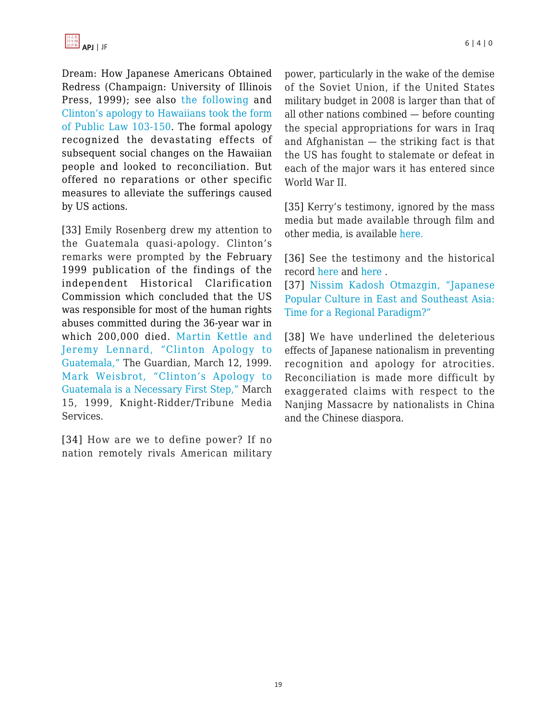Dream: How Japanese Americans Obtained Redress (Champaign: University of Illinois Press, 1999); see also [the following](http://en.wikipedia.org/wiki/Civil_Liberties_Act_of_1988) and [Clinton's apology to Hawaiians took the form](http://www.hawaii-nation.org/publawsum.html) [of Public Law 103-150](http://www.hawaii-nation.org/publawsum.html). The formal apology recognized the devastating effects of subsequent social changes on the Hawaiian people and looked to reconciliation. But offered no reparations or other specific measures to alleviate the sufferings caused by US actions.

[33] Emily Rosenberg drew my attention to the Guatemala quasi-apology. Clinton's remarks were prompted by the February 1999 publication of the findings of the independent Historical Clarification Commission which concluded that the US was responsible for most of the human rights abuses committed during the 36-year war in which 200,000 died. [Martin Kettle and](http://www.guardian.co.uk/world/1999/mar/12/jeremylennard.martinkettle) [Jeremy Lennard, "Clinton Apology to](http://www.guardian.co.uk/world/1999/mar/12/jeremylennard.martinkettle) [Guatemala,"](http://www.guardian.co.uk/world/1999/mar/12/jeremylennard.martinkettle) The Guardian, March 12, 1999. [Mark Weisbrot, "Clinton's Apology to](http://www.cepr.net/index.php/op-eds-columns/op-eds-columns/clinton-s-apology-to-guatemala-is-a-necessary-first-step/) [Guatemala is a Necessary First Step,"](http://www.cepr.net/index.php/op-eds-columns/op-eds-columns/clinton-s-apology-to-guatemala-is-a-necessary-first-step/) March 15, 1999, Knight-Ridder/Tribune Media Services.

[34] How are we to define power? If no nation remotely rivals American military power, particularly in the wake of the demise of the Soviet Union, if the United States military budget in 2008 is larger than that of all other nations combined — before counting the special appropriations for wars in Iraq and Afghanistan — the striking fact is that the US has fought to stalemate or defeat in each of the major wars it has entered since World War II.

[35] Kerry's testimony, ignored by the mass media but made available through film and other media, is available [here.](http://www.c-span.org/vote2004/jkerrytestimony.asp)

[36] See the testimony and the historical record [here](http://www.zcommunications.org/zvideo/2576) and [here](http://www.zcommunications.org/zvideo/2577) .

[37] [Nissim Kadosh Otmazgin, "Japanese](https://apjjf.org/products/details/2660) [Popular Culture in East and Southeast Asia:](https://apjjf.org/products/details/2660) [Time for a Regional Paradigm?"](https://apjjf.org/products/details/2660)

[38] We have underlined the deleterious effects of Japanese nationalism in preventing recognition and apology for atrocities. Reconciliation is made more difficult by exaggerated claims with respect to the Nanjing Massacre by nationalists in China and the Chinese diaspora.